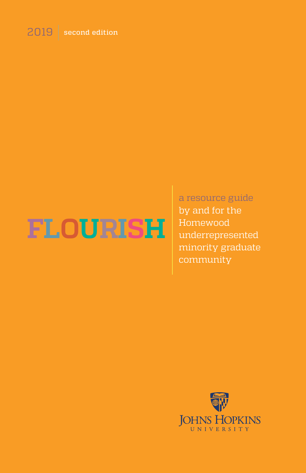# 2019 second edition

# **FLOURISH**

a resource guide by and for the Homewood underrepresented minority graduate community

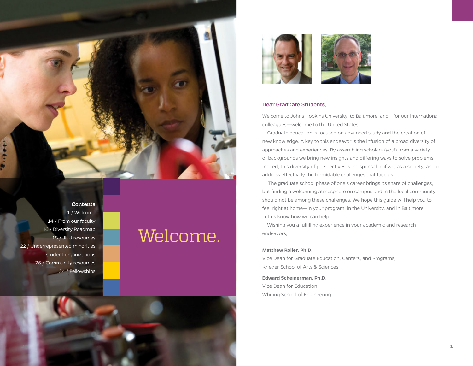1 / Welcome 14 / From our faculty 16 / Diversity Roadmap 18 / JHU resources 22 / Underrepresented minorities student organizations 26 / Community resources 34 / Fellowships

**Contents**

# Welcome.



# Dear Graduate Students,

Welcome to Johns Hopkins University, to Baltimore, and—for our international colleagues—welcome to the United States.

 Graduate education is focused on advanced study and the creation of new knowledge. A key to this endeavor is the infusion of a broad diversity of approaches and experiences. By assembling scholars (you!) from a variety of backgrounds we bring new insights and differing ways to solve problems. Indeed, this diversity of perspectives is indispensable if we, as a society, are to address effectively the formidable challenges that face us.

 The graduate school phase of one's career brings its share of challenges, but finding a welcoming atmosphere on campus and in the local community should not be among these challenges. We hope this guide will help you to feel right at home—in your program, in the University, and in Baltimore. Let us know how we can help.

 Wishing you a fulfilling experience in your academic and research endeavors,

#### **Matthew Roller, Ph.D.**

Vice Dean for Graduate Education, Centers, and Programs, Krieger School of Arts & Sciences

**Edward Scheinerman, Ph.D.**  Vice Dean for Education, Whiting School of Engineering

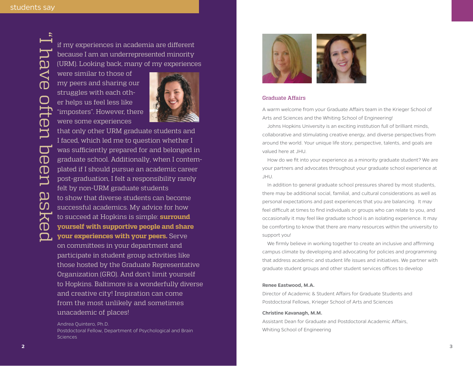if my experiences in academia are different because I am an underrepresented minority (URM). Looking back, many of my experiences

were similar to those of my peers and sharing our struggles with each other helps us feel less like "imposters". However, there were some experiences



**<sup>2</sup> <sup>3</sup>** "I have often been asked that only other URM graduate students and I faced, which led me to question whether I was sufficiently prepared for and belonged in graduate school. Additionally, when I contemplated if I should pursue an academic career post-graduation, I felt a responsibility rarely felt by non-URM graduate students to show that diverse students can become successful academics. My advice for how to succeed at Hopkins is simple: **surround yourself with supportive people and share your experiences with your peers.** Serve on committees in your department and participate in student group activities like those hosted by the Graduate Representative

Organization (GRO). And don't limit yourself to Hopkins. Baltimore is a wonderfully diverse and creative city! Inspiration can come from the most unlikely and sometimes unacademic of places!

Andrea Quintero, Ph.D. Postdoctoral Fellow, Department of Psychological and Brain **Sciences** 



#### Graduate Affairs

A warm welcome from your Graduate Affairs team in the Krieger School of Arts and Sciences and the Whiting School of Engineering!

 Johns Hopkins University is an exciting institution full of brilliant minds, collaborative and stimulating creative energy, and diverse perspectives from around the world. Your unique life story, perspective, talents, and goals are valued here at JHU.

 How do we fit into your experience as a minority graduate student? We are your partners and advocates throughout your graduate school experience at JHU.

 In addition to general graduate school pressures shared by most students, there may be additional social, familial, and cultural considerations as well as personal expectations and past experiences that you are balancing. It may feel difficult at times to find individuals or groups who can relate to you, and occasionally it may feel like graduate school is an isolating experience. It may be comforting to know that there are many resources within the university to support you!

 We firmly believe in working together to create an inclusive and affirming campus climate by developing and advocating for policies and programming that address academic and student life issues and initiatives. We partner with graduate student groups and other student services offices to develop

#### **Renee Eastwood, M.A.**

Director of Academic & Student Affairs for Graduate Students and Postdoctoral Fellows, Krieger School of Arts and Sciences

#### **Christine Kavanagh, M.M.**

Assistant Dean for Graduate and Postdoctoral Academic Affairs, Whiting School of Engineering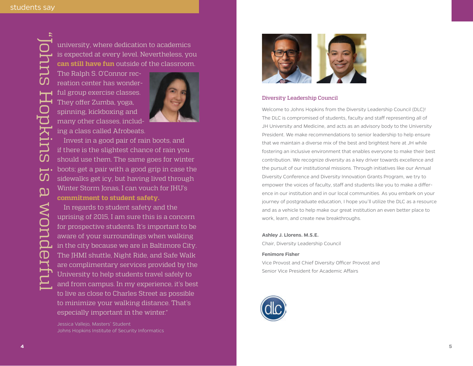university, where dedication to academics is expected at every level. Nevertheless, you **can still have fun** outside of the classroom.

The Ralph S. O'Connor recreation center has wonderful group exercise classes. They offer Zumba, yoga, spinning, kickboxing and many other classes, including a class called Afrobeats.



 Invest in a good pair of rain boots, and if there is the slightest chance of rain you should use them. The same goes for winter boots; get a pair with a good grip in case the sidewalks get icy, but having lived through Winter Storm Jonas, I can vouch for JHU's **commitment to student safety.**

 In regards to student safety and the uprising of 2015, I am sure this is a concern for prospective students. It's important to be aware of your surroundings when walking in the city because we are in Baltimore City. The JHMI shuttle, Night Ride, and Safe Walk are complimentary services provided by the University to help students travel safely to and from campus. In my experience, it's best to live as close to Charles Street as possible to minimize your walking distance. That's especially important in the winter."



### Diversity Leadership Council

Welcome to Johns Hopkins from the Diversity Leadership Council (DLC)! The DLC is compromised of students, faculty and staff representing all of JH University and Medicine, and acts as an advisory body to the University President. We make recommendations to senior leadership to help ensure that we maintain a diverse mix of the best and brightest here at JH while fostering an inclusive environment that enables everyone to make their best contribution. We recognize diversity as a key driver towards excellence and the pursuit of our institutional missions. Through initiatives like our Annual Diversity Conference and Diversity Innovation Grants Program, we try to empower the voices of faculty, staff and students like you to make a difference in our institution and in our local communities. As you embark on your journey of postgraduate education, I hope you'll utilize the DLC as a resource and as a vehicle to help make our great institution an even better place to work, learn, and create new breakthroughs.

#### **Ashley J. Llorens. M.S.E.**

Chair, Diversity Leadership Council

#### **Fenimore Fisher**

Vice Provost and Chief Diversity Officer Provost and Senior Vice President for Academic Affairs



Jessica Vallejo, Masters' Student Johns Hopkins Institute of Security Informatics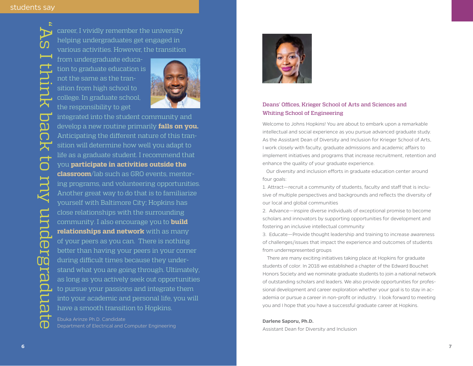"As I think back to my undergraduate

 $\overline{\bullet}$ 

IƏI

MO

 $\boldsymbol{\Omega}$ 

career, I vividly remember the university helping undergraduates get engaged in various activities. However, the transition

from undergraduate education to graduate education is not the same as the transition from high school to college. In graduate school, the responsibility to get



integrated into the student community and develop a new routine primarily **falls on you.** Anticipating the different nature of this transition will determine how well you adapt to life as a graduate student. I recommend that you **participate in activities outside the classroom**/lab such as GRO events, mentoring programs, and volunteering opportunities. Another great way to do that is to familiarize yourself with Baltimore City; Hopkins has close relationships with the surrounding community. I also encourage you to **build relationships and network** with as many of your peers as you can. There is nothing better than having your peers in your corner during difficult times because they understand what you are going through. Ultimately, as long as you actively seek out opportunities to pursue your passions and integrate them into your academic and personal life, you will have a smooth transition to Hopkins.

Ebuka Arinze Ph.D. Candidate Department of Electrical and Computer Engineering



# Deans' Offices, Krieger School of Arts and Sciences and Whiting School of Engineering

Welcome to Johns Hopkins! You are about to embark upon a remarkable intellectual and social experience as you pursue advanced graduate study. As the Assistant Dean of Diversity and Inclusion for Krieger School of Arts, I work closely with faculty, graduate admissions and academic affairs to implement initiatives and programs that increase recruitment, retention and enhance the quality of your graduate experience.

 Our diversity and inclusion efforts in graduate education center around four goals:

1. Attract—recruit a community of students, faculty and staff that is inclusive of multiple perspectives and backgrounds and reflects the diversity of our local and global communities

2. Advance—inspire diverse individuals of exceptional promise to become scholars and innovators by supporting opportunities for development and fostering an inclusive intellectual community

3. Educate—Provide thought leadership and training to increase awareness of challenges/issues that impact the experience and outcomes of students from underrepresented groups

 There are many exciting initiatives taking place at Hopkins for graduate students of color. In 2018 we established a chapter of the Edward Bouchet Honors Society and we nominate graduate students to join a national network of outstanding scholars and leaders. We also provide opportunities for professional development and career exploration whether your goal is to stay in academia or pursue a career in non-profit or industry. I look forward to meeting you and I hope that you have a successful graduate career at Hopkins.

#### **Darlene Saporu, Ph.D.**

Assistant Dean for Diversity and Inclusion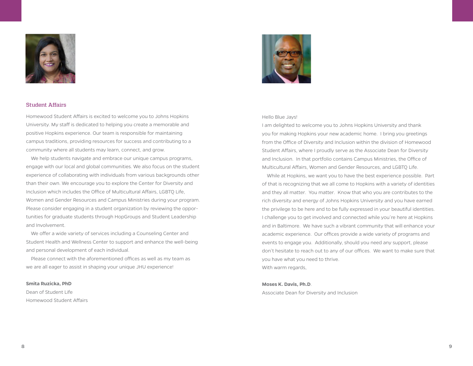

# Student Affairs

Homewood Student Affairs is excited to welcome you to Johns Hopkins University. My staff is dedicated to helping you create a memorable and positive Hopkins experience. Our team is responsible for maintaining campus traditions, providing resources for success and contributing to a community where all students may learn, connect, and grow.

 We help students navigate and embrace our unique campus programs, engage with our local and global communities. We also focus on the student experience of collaborating with individuals from various backgrounds other than their own. We encourage you to explore the Center for Diversity and Inclusion which includes the Office of Multicultural Affairs, LGBTQ Life, Women and Gender Resources and Campus Ministries during your program. Please consider engaging in a student organization by reviewing the opportunities for graduate students through HopGroups and Student Leadership and Involvement.

 We offer a wide variety of services including a Counseling Center and Student Health and Wellness Center to support and enhance the well-being and personal development of each individual.

 Please connect with the aforementioned offices as well as my team as we are all eager to assist in shaping your unique JHU experience!

#### **Smita Ruzicka, PhD**

Dean of Student Life Homewood Student Affairs



#### Hello Blue Jays!

I am delighted to welcome you to Johns Hopkins University and thank you for making Hopkins your new academic home. I bring you greetings from the Office of Diversity and Inclusion within the division of Homewood Student Affairs, where I proudly serve as the Associate Dean for Diversity and Inclusion. In that portfolio contains Campus Ministries, the Office of Multicultural Affairs, Women and Gender Resources, and LGBTQ Life.

 While at Hopkins, we want you to have the best experience possible. Part of that is recognizing that we all come to Hopkins with a variety of identities and they all matter. You matter. Know that who you are contributes to the rich diversity and energy of Johns Hopkins University and you have earned the privilege to be here and to be fully expressed in your beautiful identities. I challenge you to get involved and connected while you're here at Hopkins and in Baltimore. We have such a vibrant community that will enhance your academic experience. Our offices provide a wide variety of programs and events to engage you. Additionally, should you need any support, please don't hesitate to reach out to any of our offices. We want to make sure that you have what you need to thrive. With warm regards,

#### **Moses K. Davis, Ph.D**.

Associate Dean for Diversity and Inclusion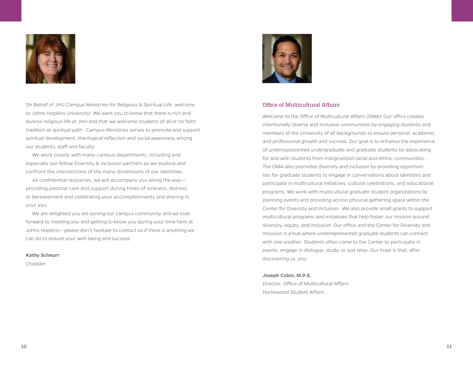

On Behalf of JHU Campus Ministries for Religious & Spiritual Life, welcome to Johns Hopkins University! We want you to know that there is rich and diverse religious life at JHU and that we welcome students of all or no faith tradition or spiritual path. Campus Ministries serves to promote and support spiritual development, theological reflection and social awareness among our students, staff and faculty.

 We work closely with many campus departments, including and especially our fellow Diversity & Inclusion partners as we explore and confront the intersections of the many dimensions of our identities.

 As confidential resources, we will accompany you along the way providing pastoral care and support during times of sickness, distress or bereavement and celebrating your accomplishments and sharing in your joys.

 We are delighted you are joining our campus community and we look forward to meeting you and getting to know you during your time here at Johns Hopkins—please don't hesitate to contact us if there is anything we can do to ensure your well-being and success.

#### **Kathy Schnurr**

Chaplain



#### Office of Multicultural Affairs

Welcome to the Office of Multicultural Affairs (OMA)! Our office creates intentionally diverse and inclusive communities by engaging students and members of the University of all backgrounds to ensure personal, academic, and professional growth and success. Our goal is to enhance the experience of underrepresented undergraduate and graduate students by advocating for and with students from marginalized racial and ethnic communities. The OMA also promotes diversity and inclusion by providing opportunities for graduate students to engage in conversations about identities and participate in multicultural initiatives, cultural celebrations, and educational programs. We work with multicultural graduate student organizations by planning events and providing access physical gathering space within the Center for Diversity and Inclusion. We also provide small grants to support multicultural programs and initiatives that help foster our mission around diversity, equity, and inclusion. Our office and the Center for Diversity and Inclusion is a hub where underrepresented graduate students can connect with one another. Students often come to the Center to participate in events, engage in dialogue, study, or just relax. Our hope is that, after discovering us, you

#### **Joseph Colon, M.P.S.**

Director, Office of Multicultural Affairs Homewood Student Affairs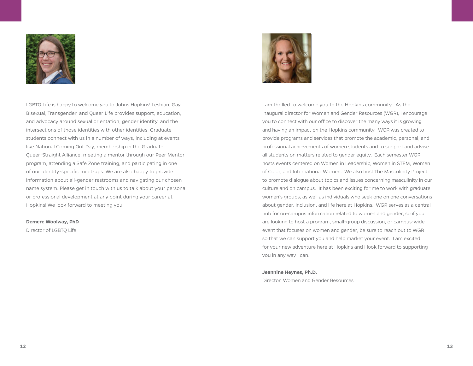

LGBTQ Life is happy to welcome you to Johns Hopkins! Lesbian, Gay, Bisexual, Transgender, and Queer Life provides support, education, and advocacy around sexual orientation, gender identity, and the intersections of those identities with other identities. Graduate students connect with us in a number of ways, including at events like National Coming Out Day, membership in the Graduate Queer-Straight Alliance, meeting a mentor through our Peer Mentor program, attending a Safe Zone training, and participating in one of our identity-specific meet-ups. We are also happy to provide information about all-gender restrooms and navigating our chosen name system. Please get in touch with us to talk about your personal or professional development at any point during your career at Hopkins! We look forward to meeting you.

#### **Demere Woolway, PhD**

Director of LGBTQ Life



I am thrilled to welcome you to the Hopkins community. As the inaugural director for Women and Gender Resources (WGR), I encourage you to connect with our office to discover the many ways it is growing and having an impact on the Hopkins community. WGR was created to provide programs and services that promote the academic, personal, and professional achievements of women students and to support and advise all students on matters related to gender equity. Each semester WGR hosts events centered on Women in Leadership, Women in STEM, Women of Color, and International Women. We also host The Masculinity Project to promote dialogue about topics and issues concerning masculinity in our culture and on campus. It has been exciting for me to work with graduate women's groups, as well as individuals who seek one on one conversations about gender, inclusion, and life here at Hopkins. WGR serves as a central hub for on-campus information related to women and gender, so if you are looking to host a program, small-group discussion, or campus-wide event that focuses on women and gender, be sure to reach out to WGR so that we can support you and help market your event. I am excited for your new adventure here at Hopkins and I look forward to supporting you in any way I can.

#### **Jeannine Heynes, Ph.D.**

Director, Women and Gender Resources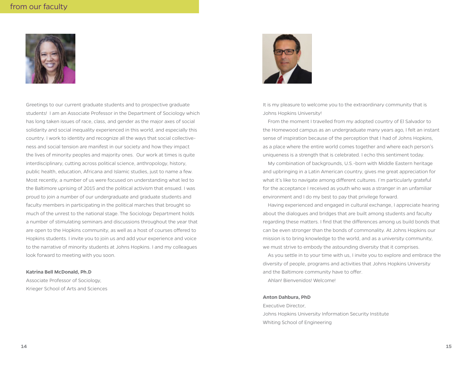

Greetings to our current graduate students and to prospective graduate students! I am an Associate Professor in the Department of Sociology which has long taken issues of race, class, and gender as the major axes of social solidarity and social inequality experienced in this world, and especially this country. I work to identity and recognize all the ways that social collectiveness and social tension are manifest in our society and how they impact the lives of minority peoples and majority ones. Our work at times is quite interdisciplinary, cutting across political science, anthropology, history, public health, education, Africana and Islamic studies, just to name a few. Most recently, a number of us were focused on understanding what led to the Baltimore uprising of 2015 and the political activism that ensued. I was proud to join a number of our undergraduate and graduate students and faculty members in participating in the political marches that brought so much of the unrest to the national stage. The Sociology Department holds a number of stimulating seminars and discussions throughout the year that are open to the Hopkins community, as well as a host of courses offered to Hopkins students. I invite you to join us and add your experience and voice to the narrative of minority students at Johns Hopkins. I and my colleagues look forward to meeting with you soon.

#### **Katrina Bell McDonald, Ph.D**

Associate Professor of Sociology, Krieger School of Arts and Sciences



It is my pleasure to welcome you to the extraordinary community that is Johns Hopkins University!

 From the moment I travelled from my adopted country of El Salvador to the Homewood campus as an undergraduate many years ago, I felt an instant sense of inspiration because of the perception that I had of Johns Hopkins, as a place where the entire world comes together and where each person's uniqueness is a strength that is celebrated. I echo this sentiment today.

 My combination of backgrounds, U.S.-born with Middle Eastern heritage and upbringing in a Latin American country, gives me great appreciation for what it's like to navigate among different cultures. I'm particularly grateful for the acceptance I received as youth who was a stranger in an unfamiliar environment and I do my best to pay that privilege forward.

 Having experienced and engaged in cultural exchange, I appreciate hearing about the dialogues and bridges that are built among students and faculty regarding these matters. I find that the differences among us build bonds that can be even stronger than the bonds of commonality. At Johns Hopkins our mission is to bring knowledge to the world, and as a university community, we must strive to embody the astounding diversity that it comprises.

 As you settle in to your time with us, I invite you to explore and embrace the diversity of people, programs and activities that Johns Hopkins University and the Baltimore community have to offer.

Ahlan! Bienvenidos! Welcome!

#### **Anton Dahbura, PhD**

Executive Director, Johns Hopkins University Information Security Institute Whiting School of Engineering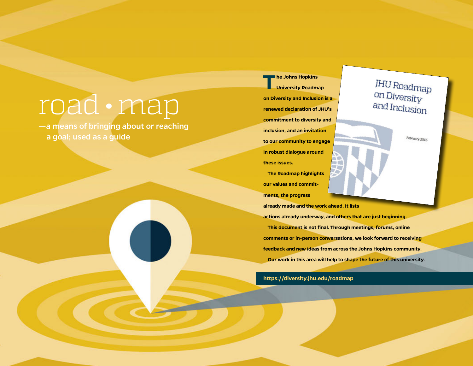# road • map

—a means of bringing about or reaching a goal; used as a guide

Œ

**The Johns Hopkins University Roadmap on Diversity and Inclusion is a renewed declaration of JHU's commitment to diversity and inclusion, and an invitation to our community to engage in robust dialogue around these issues. The Roadmap highlights** 

**our values and commitments, the progress** 

**already made and the work ahead. It lists** 

**actions already underway, and others that are just beginning. This document is not final. Through meetings, forums, online comments or in-person conversations, we look forward to receiving feedback and new ideas from across the Johns Hopkins community. Our work in this area will help to shape the future of this university.**

**https://diversity.jhu.edu/roadmap**

**JHU Roadmap** on Diversity and Inclusion

February 2016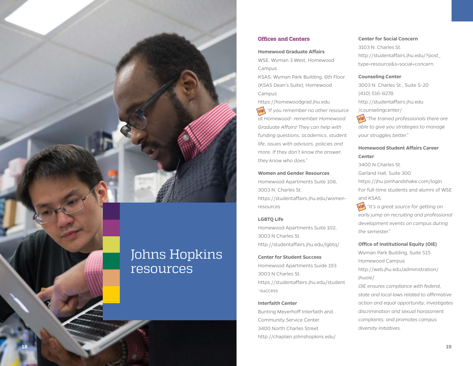# **Offices and Centers**

#### **Homewood Graduate Affairs**

WSE: Wyman 3 West, Homewood Campus

KSAS: Wyman Park Building, 6th Floor (KSAS Dean's Suite), Homewood Campus

https://homewoodgrad.jhu.edu

*(tip)* "If you remember no other resource *at Homewood- remember Homewood Graduate Affairs! They can help with funding questions, academics, student life, issues with advisors, policies and more. If they don't know the answer, they know who does."*  **<sup>18</sup> <sup>19</sup> tip tip tip**

#### **Women and Gender Resources**

Homewood Apartments Suite 108, 3003 N. Charles St.

https://studentaffairs.jhu.edu/womenresources

#### **LGBTQ Life**

Homewood Apartments Suite 102, 3003 N Charles St. http://studentaffairs.jhu.edu/lgbtq/

#### **Center for Student Success**

Homewood Apartments Suide 193 3003 N Charles St. https://studentaffairs.jhu.edu/student -success

#### **Interfaith Center**

Bunting Meyerhoff Interfaith and Community Service Center 3400 North Charles Street http://chaplain.johnshopkins.edu/

#### **Center for Social Concern**

3103 N. Charles St. http://studentaffairs.jhu.edu/?post\_ type=resource&s=social+concern

#### **Counseling Center**

3003 N. Charles St., Suite S-20 (410) 516-8278 http://studentaffairs.jhu.edu /counselingcenter/

*<u>Eip</u> "The trained professionals there are able to give you strategies to manage your struggles better."*

# **Homewood Student Affairs Career Center**

3400 N Charles St.

*the semester."*

Garland Hall, Suite 300 https://jhu.joinhandshake.com/login For full-time students and alumni of WSE

and KSAS.  *"It's a great source for getting an early jump on recruiting and professional* 

*development events on campus during* 

**Office of Institutional Equity (OIE)**

Wyman Park Building, Suite 515 Homewood Campus http://web.jhu.edu/administration/ jhuoie/ *OIE ensures compliance with federal,* 

*state and local laws related to affirmative action and equal opportunity; investigates discrimination and sexual harassment complaints; and promotes campus diversity initiatives.* 

# Johns Hopkins resources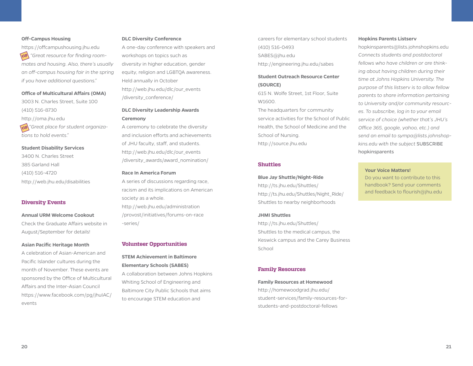#### **Off-Campus Housing**

https://offcampushousing.jhu.edu  *"Great resource for finding room-***tip** *mates and housing. Also, there's usually an off-campus housing fair in the spring if you have additional questions."*

#### **Office of Multicultural Affairs (OMA)**

3003 N. Charles Street, Suite 100 (410) 516-8730 http://oma.jhu.edu  *"Great place for student organiza-***tip** *tions to hold events."*

#### **Student Disability Services**

3400 N. Charles Street 385 Garland Hall (410) 516-4720 http://web.jhu.edu/disabilities

#### **Diversity Events**

#### **Annual URM Welcome Cookout**

Check the Graduate Affairs website in August/September for details!

#### **Asian Pacific Heritage Month**

A celebration of Asian-American and Pacific Islander cultures during the month of November. These events are sponsored by the Office of Multicultural Affairs and the Inter-Asian Council https://www.facebook.com/pg/jhuIAC/ events

#### **DLC Diversity Conference**

A one-day conference with speakers and workshops on topics such as diversity in higher education, gender equity, religion and LGBTQA awareness. Held annually in October http://web.jhu.edu/dlc/our\_events /diversity\_conference/

# **DLC Diversity Leadership Awards Ceremony**

A ceremony to celebrate the diversity and inclusion efforts and achievements of JHU faculty, staff, and students. http://web.jhu.edu/dlc/our\_events /diversity\_awards/award\_nomination/

#### **Race In America Forum**

A series of discussions regarding race, racism and its implications on American society as a whole. http://web.jhu.edu/administration /provost/initiatives/forums-on-race -series/

#### **Volunteer Opportunities**

# **STEM Achievement in Baltimore Elementary Schools (SABES)**

A collaboration between Johns Hopkins Whiting School of Engineering and Baltimore City Public Schools that aims to encourage STEM education and

careers for elementary school students (410) 516-0493 SABES@jhu.edu http://engineering.jhu.edu/sabes

# **Student Outreach Resource Center (SOURCE)**

615 N. Wolfe Street, 1st Floor, Suite W1600.

The headquarters for community service activities for the School of Public Health, the School of Medicine and the School of Nursing. http://source.jhu.edu

#### **Shuttles**

#### **Blue Jay Shuttle/Night-Ride**

http://ts.jhu.edu/Shuttles/ http://ts.jhu.edu/Shuttles/Night\_Ride/ Shuttles to nearby neighborhoods

#### **JHMI Shuttles**

http://ts.jhu.edu/Shuttles/ Shuttles to the medical campus, the Keswick campus and the Carey Business School

#### **Family Resources**

#### **Family Resources at Homewood**

http://homewoodgrad.jhu.edu/ student-services/family-resources-forstudents-and-postdoctoral-fellows

#### **Hopkins Parents Listserv**

hopkinsparents@lists.johnshopkins.edu *Connects students and postdoctoral fellows who have children or are thinking about having children during their time at Johns Hopkins University. The purpose of this listserv is to allow fellow parents to share information pertaining to University and/or community resources. To subscribe, log in to your email service of choice (whether that's JHU's Office 365, google, yahoo, etc.) and send an email to sympa@lists.johnshopkins.edu with the subject* SUBSCRIBE hopkinsparents

#### **Your Voice Matters!**

Do you want to contribute to this handbook? Send your comments and feedback to flourish@jhu.edu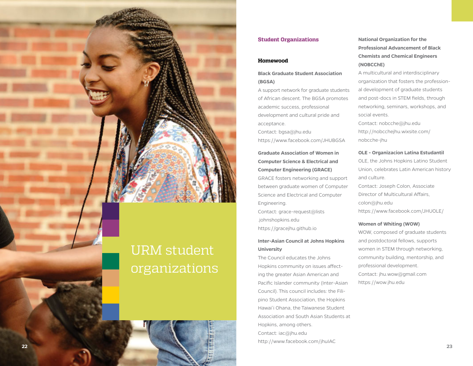

#### **Student Organizations**

#### **Homewood**

# **Black Graduate Student Association (BGSA)**

A support network for graduate students of African descent. The BGSA promotes academic success, professional development and cultural pride and acceptance.

Contact: bgsa@jhu.edu

https://www.facebook.com/JHUBGSA

# **Graduate Association of Women in Computer Science & Electrical and Computer Engineering (GRACE)**

GRACE fosters networking and support between graduate women of Computer Science and Electrical and Computer Engineering.

Contact: grace-request@lists .johnshopkins.edu https://gracejhu.github.io

# **Inter-Asian Council at Johns Hopkins University**

The Council educates the Johns Hopkins community on issues affecting the greater Asian American and Pacific Islander community (Inter-Asian Council). This council includes: the Filipino Student Association, the Hopkins Hawai'i Ohana, the Taiwanese Student Association and South Asian Students at Hopkins, among others. Contact: iac@jhu.edu http://www.facebook.com/jhuIAC

**National Organization for the Professional Advancement of Black Chemists and Chemical Engineers (NOBCChE)**

A multicultural and interdisciplinary organization that fosters the professional development of graduate students and post-docs in STEM fields, through networking, seminars, workshops, and social events.

Contact: nobcche@jhu.edu http://nobcchejhu.wixsite.com/ nobcche-jhu

#### **OLE - Organizacion Latina Estudantil**

OLE, the Johns Hopkins Latino Student Union, celebrates Latin American history and culture. Contact: Joseph Colon, Associate Director of Multicultural Affairs, colon@jhu.edu

https://www.facebook.com/JHUOLE/

#### **Women of Whiting (WOW)**

WOW, composed of graduate students and postdoctoral fellows, supports women in STEM through networking, community building, mentorship, and professional development. Contact: jhu.wow@gmail.com https://wow.jhu.edu

# organizations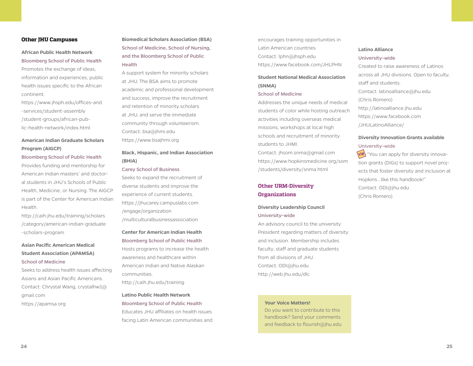#### **Other JHU Campuses**

# **African Public Health Network** Bloomberg School of Public Health

Promotes the exchange of ideas, information and experiences, public health issues specific to the African continent.

https://www.jhsph.edu/offices-and -services/student-assembly /student-groups/african-public-health-network/index.html

# **American Indian Graduate Scholars Program (AIGCP)**

#### Bloomberg School of Public Health

Provides funding and mentorship for American Indian masters' and doctoral students in JHU's Schools of Public Health, Medicine, or Nursing. The AIGCP is part of the Center for American Indian Health.

http://caih.jhu.edu/training/scholars /category/american-indian-graduate -scholars-program

# **Asian Pacific American Medical Student Association (APAMSA)** School of Medicine

Seeks to address health issues affecting Asians and Asian Pacific Americans. Contact: Chrystal Wang, crystalhw1@ gmail.com https://apamsa.org

**Biomedical Scholars Association (BSA)** School of Medicine, School of Nursing, and the Bloomberg School of Public **Health** 

A support system for minority scholars at JHU. The BSA aims to promote academic and professional development and success, improve the recruitment and retention of minority scholars at JHU, and serve the immediate community through volunteerism. Contact: bsa@jhmi.edu https://www.bsajhmi.org

# **Black, Hispanic, and Indian Association (BHIA)**

#### Carey School of Business

Seeks to expand the recruitment of diverse students and improve the experience of current students. https://jhucarey.campuslabs.com /engage/organization

/multiculturalbusinessassociation

# **Center for American Indian Health** Bloomberg School of Public Health

Hosts programs to increase the health awareness and healthcare within American Indian and Native Alaskan communities.

http://caih.jhu.edu/training

# **Latino Public Health Network** Bloomberg School of Public Health Educates JHU affiliates on health issues facing Latin American communities and

encourages training opportunities in Latin American countries. Contact: lphn@jhsph.edu https://www.facebook.com/JHLPHN

# **Student National Medical Association (SNMA)**

#### School of Medicine

Addresses the unique needs of medical students of color while hosting outreach activities including overseas medical missions, workshops at local high schools and recruitment of minority students to JHMI.

Contact: jhsom.snma@gmail.com https://www.hopkinsmedicine.org/som /students/diversity/snma.html

# **Other URM-Diversity Organizations**

# **Diversity Leadership Council**

#### University-wide

An advisory council to the university President regarding matters of diversity and inclusion. Membership includes faculty, staff and graduate students from all divisions of JHU. Contact: ODI@jhu.edu http://web.jhu.edu/dlc

#### **Your Voice Matters!**

Do you want to contribute to this handbook? Send your comments and feedback to flourish@jhu.edu

#### **Latino Alliance** University-wide

Created to raise awareness of Latinos across all JHU divisions. Open to faculty, staff and students. Contact: latinoalliance@jhu.edu (Chris Romero) http://latinoalliance.jhu.edu https://www.facebook.com /JHULatinoAlliance/

# **Diversity Innovation Grants available**

### University-wide

**tip** "You can apply for diversity innovation grants (DIGs) to support novel projects that foster diversity and inclusion at Hopkins...like this handbook!" Contact: ODI@jhu.edu (Chris Romero)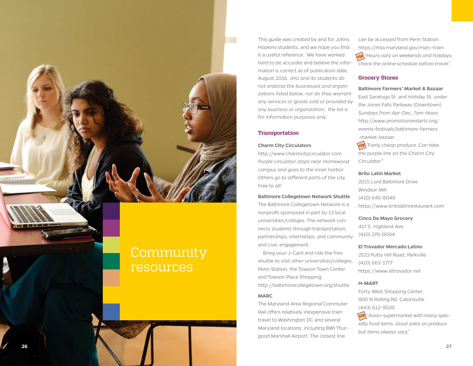

# Community resources

This guide was created by and for Johns Hopkins students, and we hope you find it a useful reference. We have worked hard to be accurate and believe the information is correct as of publication date, August 2016. *JHU and its students do not endorse the businesses and organizations listed below, nor do they warrant any services or goods sold or provided by any business or organization; the list is for information purposes only.*

#### **Transportation**

#### **Charm City Circulators**

http://www.charmcitycirculator.com *Purple circulator stops near Homewood campus and goes to the inner harbor. Others go to different parts of the city.*  Free to all!

#### **Baltimore Collegetown Network Shuttle**

The Baltimore Collegetown Network is a nonprofit sponsored in part by 13 local universities/colleges. The network connects students through transportation, partnerships, internships, and community and civic engagement.

 Bring your J-Card and ride the free shuttle to visit other universities/colleges, Penn Station, the Towson Town Center and Towson Place Shopping. http://baltimorecollegetown.org/shuttle

#### **MARC**

The Maryland Area Regional Commuter Rail offers relatively inexpensive train travel to Washington DC and several Maryland locations, including BWI Thurgood Marshall Airport. The closest line

can be accessed from Penn Station. https://mta.maryland.gov/marc-train  *"Hours vary on weekends and holidays; check the online schedule before travel."*

#### **Grocery Stores**

#### **Baltimore Farmers' Market & Bazaar**

East Saratoga St. and Holiday St. under the Jones Falls Parkway (Downtown) *Sundays from Apr-Dec, 7am-Noon.* http://www.promotionandarts.org/ events-festivals/baltimore-farmers -market-bazaar

 *"Fairly cheap produce. Can take the purple line on the Charm City Circulator."*

#### **Brito Latin Market**

2015 Lord Baltimore Drive Windsor Mill (410) 645-8046 https://www.britolatinrestaurant.com

# **Cinco De Mayo Grocery**

417 S. Highland Ave. (410) 276-0004

#### **El Trovador Mercado Latino**

2523 Putty Hill Road, Parkville (410) 663-1777 https://www.eltrovador.net

#### **H-MART**

Forty West Shopping Center, 800 N Rolling Rd, Catonsville (443) 612-9020

 *"Asian-supermarket with many specialty food items. Good sales on produce but items always vary."* **tip**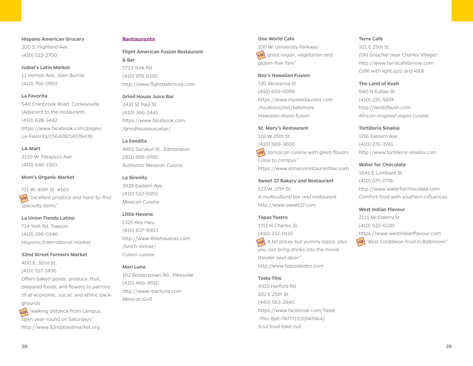**Hispano American Grocery** 200 S. Highland Ave. (410) 522-2700

#### **Isabel's Latin Market**

11 Vernon Ave., Glen Burnie (410) 766-0959

#### **La Favorita**

540 Cranbrook Road, Cockeysville (Adjacent to the restaurant) (410) 628-1442 https://www.facebook.com/pages/ La-Favorita/156428714378439

#### **LA Mart**

2159 W. Patapsco Ave. (410) 646-1501

#### **Mom's Organic Market**

711 W. 40th St. #163 *"excellent produce and hard-to-find*  **tip** *specialty items"*

# **La Union Tienda Latina**

714 York Rd, Towson (410) 296-5940 *Hispanic/International market*

**32nd Street Farmers Market**

400 E. 32nd St. (410) 917-1496 Offers baked goods, produce, fruit, prepared foods, and flowers to patrons of all economic, social, and ethnic backgrounds "walking distance from campus; **tip**

open year-round on Saturdays" http://www.32ndstreetmarket.org

#### **Restaurants**

**Flight American Fusion Restaurant & Bar** 5723 York Rd. (410) 978-8190

http://www.flightbaltimore.com

# **Grind House Juice Bar**

2431 St Paul St. (410) 366-2441 https://www.facebook.com /grindhousejuicebar/

#### **La Fondita**

4901 Decatur St., Edmonston (301) 699-0785 *Authentic Mexican Cuisine*

#### **La Sirenita**

3928 Eastern Ave. (410) 522-5055 *Mexican Cuisine* 

#### **Little Havana**

1325 Key Hwy. (410) 837-9903 http://www.littlehavanas.com /lunch-dinner/ *Cuban cuisine*

#### **Mari Luna**

102 Reisterstown Rd., Pikesville (410) 486-9910 http://www.mariluna.com *Mexican Grill*

#### **One World Cafe**

100 W. University Parkway *"great vegan, vegetarian and*  **tip** *gluten-free fare"*

#### **Roy's Hawaiian Fusion**

720 Aliceanna St. (410) 659-0099 https://www.roysrestaurant.com /locations/md/baltimore *Hawaiian-Asian fusion*

#### **St. Mary's Restaurant**

118 W 25th St. (410) 889-9600  *"Jamaican cuisine with great flavors.*  **tip** *Close to campus."*  https://www.stmarysrestaurantbar.com

**Sweet 27 Bakery and Restaurant** 123 W. 27th St. *A multicultural bar and restaurant* http://www.sweet27.com

#### **Tapas Teatro**

1711 N Charles St. (410) 332-0110  *"A bit pricey but yummy tapas. plus*  **tip** *you can bring drinks into the movie theater next door!" http://www.tapasteatro.com*

## **Taste This**

4915 Harford Rd. 102 E 25th St. (443) 563-2845 https://www.facebook.com/Taste -This-Balt-747771531947664/ *Soul food take-out*

#### **Terra Café**

101 E 25th St. (Old Goucher near Charles Village) http://www.terracafebmore.com *Café with light jazz and R&B*

#### **The Land of Kush**

840 N Eutaw St. (410) 225-5874 http://landofkush.com *African-inspired vegan cuisine*

#### **Tortilleria Sinaloa**

1716 Eastern Ave. (410) 276-3741 http://www.tortilleria-sinaloa.com

#### **Water for Chocolate**

1841 E Lombard St. (410) 675-7778 http://www.waterforchocolate.com *Comfort food with southern influences*

#### **West Indian Flavour**

2111 McElderry St. (410) 522-0220 https://www.westindianflavour.com  *"Best Caribbean food in Baltimore!"* **tip**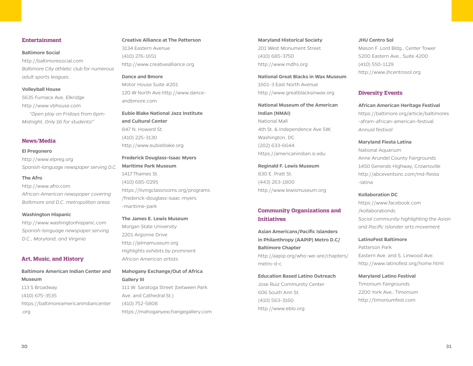#### **Entertainment**

#### **Baltimore Social**

http://baltimoresocial.com *Baltimore City athletic club for numerous adult sports leagues.*

#### **Volleyball House**

5635 Furnace Ave, Elkridge http://www.vbhouse.com *"Open play on Fridays from 6pm-Midnight. Only \$6 for students!"*

#### **News/Media**

#### **El Pregonero**

http://www.elpreg.org *Spanish-language newspaper serving D.C*.

#### **The Afro**

http://www.afro.com *African-American newspaper covering Baltimore and D.C. metropolitan areas*

#### **Washington Hispanic**

http://www.washingtonhispanic.com *Spanish-language newspaper serving D.C., Maryland, and Virginia*

### **Art, Music, and History**

**Baltimore American Indian Center and Museum** 113 S Broadway (410) 675-3535 https://baltimoreamericanindiancenter .org

# **Creative Alliance at The Patterson** 3134 Eastern Avenue (410) 276-1651 http://www.creativealliance.org

**Dance and Bmore** Motor House Suite #201 120 W North Ave.http://www.danceandbmore.com

**Eubie Blake National Jazz Institute and Cultural Center** 847 N. Howard St. (410) 225-3130 http://www.eubieblake.org

## **Frederick Douglass-Isaac Myers Maritime Park Museum**

1417 Thames St. (410) 685-0295 https://livingclassrooms.org/programs /frederick-douglass-isaac-myers -maritime-park

#### **The James E. Lewis Museum**

Morgan State University 2201 Argonne Drive http://jelmamuseum.org *Highlights exhibits by prominent African American artists*

# **Mahogany Exchange/Out of Africa Gallery III**

111 W. Saratoga Street (between Park Ave. and Cathedral St.) (410) 752-5808 https://mahoganyexchangegallery.com

**Maryland Historical Society** 201 West Monument Street (410) 685-3750 http://www.mdhs.org

**National Great Blacks in Wax Museum** 1601-3 East North Avenue http://www.greatblacksinwax.org

# **National Museum of the American Indian (NMAI)** National Mall 4th St. & Independence Ave SW, Washington, DC (202) 633-6644 https://americanindian.si.edu

**Reginald F. Lewis Museum** 830 E. Pratt St. (443) 263-1800 http://www.lewismuseum.org

# **Community Organizations and Initiatives**

**Asian Americans/Pacific Islanders in Philanthropy (AAPIP) Metro D.C/ Baltimore Chapter** http://aapip.org/who-we-are/chapters/ metro-d-c

# **Education Based Latino Outreach**

Jose Ruiz Community Center 606 South Ann St. (410) 563-3160 http://www.eblo.org

#### **JHU Centro Sol**

Mason F. Lord Bldg., Center Tower 5200 Eastern Ave., Suite 4200 (410) 550-1129 http://www.jhcentrosol.org

### **Diversity Events**

**African American Heritage Festival** https://baltimore.org/article/baltimores -afram-african-american-festival *Annual festival* 

#### **Maryland Fiesta Latina**

National Aquarium Anne Arundel County Fairgrounds 1450 Generals Highway, Crownsville http://abceventsinc.com/md-fiesta -latina

#### **Kollaboration DC**

https://www.facebook.com /kollaborationdc *Social community highlighting the Asian and Pacific Islander arts movement*

#### **LatinoFest Baltimore**

Patterson Park Eastern Ave. and S. Linwood Ave. http://www.latinofest.org/home.html

### **Maryland Latino Festival**

Timonium Fairgrounds 2200 York Ave., Timonium http://timoniumfest.com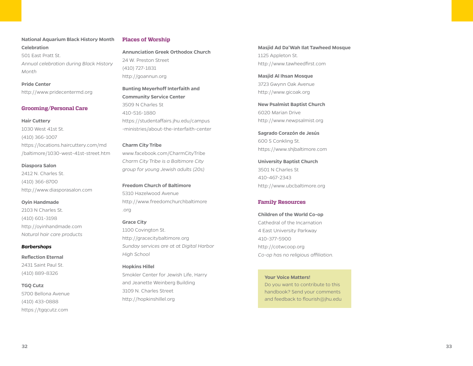## **National Aquarium Black History Month Celebration**

501 East Pratt St. *Annual celebration during Black History Month*

#### **Pride Center**

http://www.pridecentermd.org

#### **Grooming/Personal Care**

#### **Hair Cuttery**

1030 West 41st St. (410) 366-1007 https://locations.haircuttery.com/md /baltimore/1030-west-41st-street.htm

#### **Diaspora Salon**

2412 N. Charles St. (410) 366-8700 http://www.diasporasalon.com

#### **Oyin Handmade**

2103 N Charles St. (410) 601-3198 http://oyinhandmade.com *Natural hair care products*

#### *Barbershops*

#### **Reflection Eternal**

2431 Saint Paul St. (410) 889-8326

#### **TGQ Cutz**

5700 Bellona Avenue (410) 433-0888 https://tgqcutz.com

#### **Places of Worship**

**Annunciation Greek Orthodox Church**  24 W. Preston Street (410) 727-1831 http://goannun.org

# **Bunting Meyerhoff Interfaith and Community Service Center** 3509 N Charles St 410-516-1880 https://studentaffairs.jhu.edu/campus -ministries/about-the-interfaith-center

# **Charm City Tribe** www.facebook.com/CharmCityTribe

*Charm City Tribe is a Baltimore City group for young Jewish adults (20s)*

**Freedom Church of Baltimore** 5310 Hazelwood Avenue http://www.freedomchurchbaltimore .org

#### **Grace City**

1100 Covington St. http://gracecitybaltimore.org *Sunday services are at at Digital Harbor High School*

# **Hopkins Hillel**

Smokler Center for Jewish Life, Harry and Jeanette Weinberg Building 3109 N. Charles Street http://hopkinshillel.org

**Masjid Ad Da'Wah Ilat Tawheed Mosque**  1125 Appleton St. http://www.tawheedfirst.com

**Masjid Al Ihsan Mosque** 3723 Gwynn Oak Avenue http://www.gicoak.org

**New Psalmist Baptist Church** 6020 Marian Drive http://www.newpsalmist.org

**Sagrado Corazón de Jesús** 600 S Conkling St. https://www.shjbaltimore.com

**University Baptist Church** 3501 N Charles St 410-467-2343 http://www.ubcbaltimore.org

### **Family Resources**

#### **Children of the World Co-op**

Cathedral of the Incarnation 4 East University Parkway 410-377-5900 http://cotwcoop.org *Co-op has no religious affiliation.*

#### **Your Voice Matters!**

Do you want to contribute to this handbook? Send your comments and feedback to flourish@jhu.edu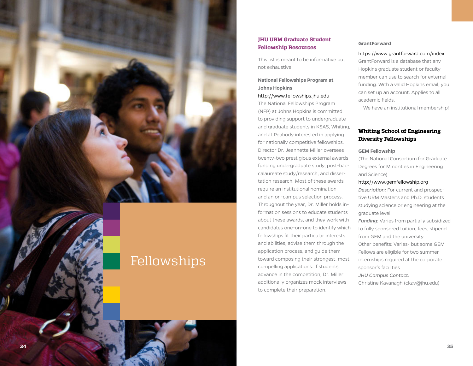

# Fellowships

# **JHU URM Graduate Student Fellowship Resources**

This list is meant to be informative but not exhaustive.

# **National Fellowships Program at Johns Hopkins**

#### http://www.fellowships.jhu.edu

The National Fellowships Program (NFP) at Johns Hopkins is committed to providing support to undergraduate and graduate students in KSAS, Whiting, and at Peabody interested in applying for nationally competitive fellowships. Director Dr. Jeannette Miller oversees twenty-two prestigious external awards funding undergraduate study, post-bac calaureate study/research, and dissertation research. Most of these awards require an institutional nomination and an on-campus selection process. Throughout the year, Dr. Miller holds information sessions to educate students about these awards, and they work with candidates one-on-one to identify which fellowships fit their particular interests and abilities, advise them through the application process, and guide them toward composing their strongest, most compelling applications. If students advance in the competition, Dr. Miller additionally organizes mock interviews to complete their preparation.

#### **GrantForward**

#### https://www.grantforward.com/index

GrantForward is a database that any Hopkins graduate student or faculty member can use to search for external funding. With a valid Hopkins email, you can set up an account. Applies to all academic fields.

We have an institutional membership!

# **Whiting School of Engineering Diversity Fellowships**

#### **GEM Fellowship**

(The National Consortium for Graduate Degrees for Minorities in Engineering and Science)

#### http://www.gemfellowship.org

*Description:* For current and prospec tive URM Master's and Ph.D. students studying science or engineering at the graduate level.

*Funding:* Varies from partially subsidized to fully sponsored tuition, fees, stipend from GEM and the university Other benefits: Varies- but some GEM Fellows are eligible for two summer internships required at the corporate sponsor's facilities

*JHU Campus Contact:*

Christine Kavanagh (ckav@jhu.edu)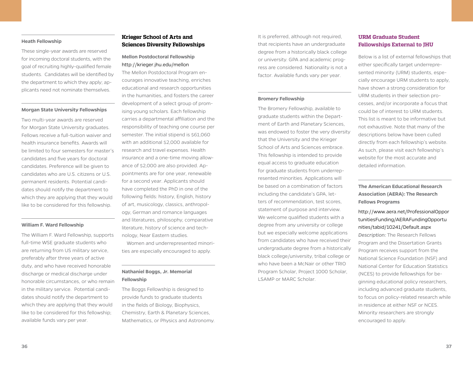#### **Heath Fellowship**

These single-year awards are reserved for incoming doctoral students, with the goal of recruiting highly-qualified female students. Candidates will be identified by the department to which they apply; applicants need not nominate themselves.

#### **Morgan State University Fellowships**

Two multi-year awards are reserved for Morgan State University graduates. Fellows receive a full-tuition waiver and health insurance benefits. Awards will be limited to four semesters for master's candidates and five years for doctoral candidates. Preference will be given to candidates who are U.S. citizens or U.S. permanent residents. Potential candidates should notify the department to which they are applying that they would like to be considered for this fellowship.

#### **William F. Ward Fellowship**

The William F. Ward Fellowship, supports full-time WSE graduate students who are returning from US military service, preferably after three years of active duty, and who have received honorable discharge or medical discharge under honorable circumstances, or who remain in the military service. Potential candidates should notify the department to which they are applying that they would like to be considered for this fellowship; available funds vary per year.

# **Krieger School of Arts and Sciences Diversity Fellowships**

# **Mellon Postdoctoral Fellowship** http://krieger.jhu.edu/mellon

The Mellon Postdoctoral Program encourages innovative teaching, enriches educational and research opportunities in the humanities, and fosters the career development of a select group of promising young scholars. Each fellowship carries a departmental affiliation and the responsibility of teaching one course per semester. The initial stipend is \$61,060 with an additional \$2,000 available for research and travel expenses. Health insurance and a one-time moving allowance of \$2,000 are also provided. Appointments are for one year, renewable for a second year. Applicants should have completed the PhD in one of the following fields: history, English, history of art, musicology, classics, anthropology, German and romance languages and literatures, philosophy, comparative literature, history of science and technology, Near Eastern studies.

 Women and underrepresented minorities are especially encouraged to apply.

# **Nathaniel Boggs, Jr. Memorial Fellowship**

The Boggs Fellowship is designed to provide funds to graduate students in the fields of Biology, Biophysics, Chemistry, Earth & Planetary Sciences, Mathematics, or Physics and Astronomy.

It is preferred, although not required, that recipients have an undergraduate degree from a historically black college or university. GPA and academic progress are considered. Nationality is not a factor. Available funds vary per year.

#### **Bromery Fellowship**

The Bromery Fellowship, available to graduate students within the Department of Earth and Planetary Sciences, was endowed to foster the very diversity that the University and the Krieger School of Arts and Sciences embrace. This fellowship is intended to provide equal access to graduate education for graduate students from underrepresented minorities. Applications will be based on a combination of factors including the candidate's GPA, letters of recommendation, test scores, statement of purpose and interview. We welcome qualified students with a degree from any university or college but we especially welcome applications from candidates who have received their undergraduate degree from a historically black college/university, tribal college or who have been a McNair or other TRIO Program Scholar, Project 1000 Scholar, LSAMP or MARC Scholar.

# **URM Graduate Student Fellowships External to JHU**

Below is a list of external fellowships that either specifically target underrepresented minority (URM) students, especially encourage URM students to apply, have shown a strong consideration for URM students in their selection processes, and/or incorporate a focus that could be of interest to URM students. This list is meant to be informative but not exhaustive. Note that many of the descriptions below have been culled directly from each fellowship's website. As such, please visit each fellowship's website for the most accurate and detailed information.

**The American Educational Research Association (AERA): The Research Fellows Programs**

# http://www.aera.net/ProfessionalOppor tunitiesFunding/AERAFundingOpportu nities/tabid/10241/Default.aspx *Description:* The Research Fellows Program and the Dissertation Grants Program receives support from the National Science Foundation (NSF) and National Center for Education Statistics (NCES) to provide fellowships for beginning educational policy researchers, including advanced graduate students, to focus on policy-related research while in residence at either NSF or NCES. Minority researchers are strongly encouraged to apply.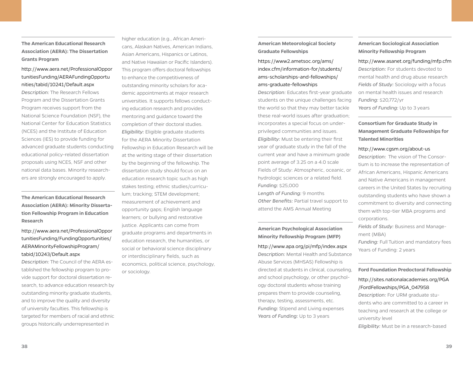**The American Educational Research Association (AERA): The Dissertation Grants Program** 

# http://www.aera.net/ProfessionalOppor tunitiesFunding/AERAFundingOpportu nities/tabid/10241/Default.aspx

*Description:* The Research Fellows Program and the Dissertation Grants Program receives support from the National Science Foundation (NSF), the National Center for Education Statistics (NCES) and the Institute of Education Sciences (IES) to provide funding for advanced graduate students conducting educational policy-related dissertation proposals using NCES, NSF and other national data bases. Minority researchers are strongly encouraged to apply.

**The American Educational Research Association (AERA): Minority Dissertation Fellowship Program in Education Research**

http://www.aera.net/ProfessionalOppor tunitiesFunding/FundingOpportunities/ AERAMinorityFellowshipProgram/ tabid/10243/Default.aspx

*Description:* The Council of the AERA established the fellowship program to provide support for doctoral dissertation research, to advance education research by outstanding minority graduate students, and to improve the quality and diversity of university faculties. This fellowship is targeted for members of racial and ethnic groups historically underrepresented in

higher education (e.g., African Americans, Alaskan Natives, American Indians, Asian Americans, Hispanics or Latinos, and Native Hawaiian or Pacific Islanders). This program offers doctoral fellowships to enhance the competitiveness of outstanding minority scholars for academic appointments at major research universities. It supports fellows conducting education research and provides mentoring and guidance toward the completion of their doctoral studies. *Eligibility:* Eligible graduate students for the AERA Minority Dissertation Fellowship in Education Research will be at the writing stage of their dissertation by the beginning of the fellowship. The dissertation study should focus on an education research topic such as high stakes testing; ethnic studies/curriculum; tracking; STEM development; measurement of achievement and opportunity gaps; English language learners; or bullying and restorative justice. Applicants can come from graduate programs and departments in education research, the humanities, or social or behavioral science disciplinary or interdisciplinary fields, such as economics, political science, psychology, or sociology.

**American Meteorological Society Graduate Fellowships**

# https://www2.ametsoc.org/ams/ index.cfm/information-for/students/ ams-scholarships-and-fellowships/ ams-graduate-fellowships

*Description:* Educates first-year graduate students on the unique challenges facing the world so that they may better tackle these real-world issues after graduation; incorporates a special focus on underprivileged communities and issues. *Eligibility:* Must be entering their first year of graduate study in the fall of the current year and have a minimum grade point average of 3.25 on a 4.0 scale Fields of Study: Atmospheric, oceanic, or hydrologic sciences or a related field. *Funding:* \$25,000 *Length of Funding:* 9 months *Other Benefits:* Partial travel support to attend the AMS Annual Meeting

# **American Psychological Association Minority Fellowship Program (MFP)**

http://www.apa.org/pi/mfp/index.aspx *Description:* Mental Health and Substance Abuse Services (MHSAS) Fellowship is directed at students in clinical, counseling, and school psychology, or other psychology doctoral students whose training prepares them to provide counseling, therapy, testing, assessments, etc. *Funding:* Stipend and Living expenses *Years of Funding:* Up to 3 years

# **American Sociological Association Minority Fellowship Program**

# http://www.asanet.org/funding/mfp.cfm *Description:* For students devoted to mental health and drug abuse research *Fields of Study:* Sociology with a focus on mental health issues and research *Funding:* \$20,772/yr *Years of Funding:* Up to 3 years

**Consortium for Graduate Study in Management Graduate Fellowships for Talented Minorities**

#### http://www.cgsm.org/about-us

*Description:* The vision of The Consortium is to increase the representation of African Americans, Hispanic Americans and Native Americans in management careers in the United States by recruiting outstanding students who have shown a commitment to diversity and connecting them with top-tier MBA programs and corporations.

*Fields of Study:* Business and Management (MBA)

*Funding:* Full Tuition and mandatory fees Years of Funding: 2 years

#### **Ford Foundation Predoctoral Fellowship**

## http://sites.nationalacademies.org/PGA /FordFellowships/PGA\_047958

*Description:* For URM graduate students who are committed to a career in teaching and research at the college or university level

*Eligibility:* Must be in a research-based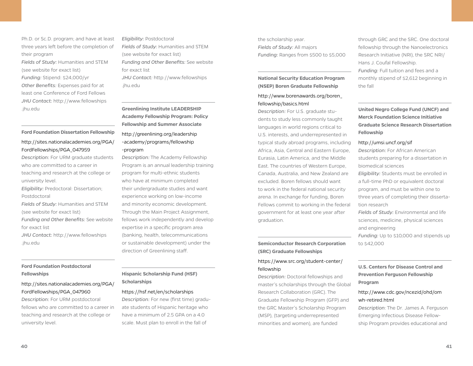Ph.D. or Sc.D. program; and have at least three years left before the completion of their program

*Fields of Study:* Humanities and STEM (see website for exact list) *Funding:* Stipend: \$24,000/yr *Other Benefits:* Expenses paid for at least one Conference of Ford Fellows *JHU Contact:* http://www.fellowships .jhu.edu

#### **Ford Foundation Dissertation Fellowship**

### http://sites.nationalacademies.org/PGA/ FordFellowships/PGA\_047959

*Description:* For URM graduate students who are committed to a career in teaching and research at the college or university level. *Eligibility:* Predoctoral: Dissertation; Postdoctoral *Fields of Study:* Humanities and STEM (see website for exact list) *Funding and Other Benefits:* See website for exact list *JHU Contact:* http://www.fellowships

.jhu.edu

# **Ford Foundation Postdoctoral Fellowships**

# http://sites.nationalacademies.org/PGA/ FordFellowships/PGA\_047960

*Description:* For URM postdoctoral fellows who are committed to a career in teaching and research at the college or university level.

*Eligibility:* Postdoctoral *Fields of Study:* Humanities and STEM (see website for exact list) *Funding and Other Benefits:* See website for exact list *JHU Contact:* http://www.fellowships .jhu.edu

**Greenlining Institute LEADERSHIP Academy Fellowship Program: Policy Fellowship and Summer Associate**

# http://greenlining.org/leadership -academy/programs/fellowship -program

*Description:* The Academy Fellowship Program is an annual leadership training program for multi-ethnic students who have at minimum completed their undergraduate studies and want experience working on low-income and minority economic development. Through the Main Project Assignment, fellows work independently and develop expertise in a specific program area (banking, health, telecommunications or sustainable development) under the direction of Greenlining staff.

# **Hispanic Scholarship Fund (HSF) Scholarships**

#### https://hsf.net/en/scholarships

*Description:* For new (first time) graduate students of Hispanic heritage who have a minimum of 2.5 GPA on a 4.0 scale. Must plan to enroll in the fall of

the scholarship year. *Fields of Study:* All majors *Funding:* Ranges from \$500 to \$5,000

# **National Security Education Program (NSEP) Boren Graduate Fellowship**

# http://www.borenawards.org/boren\_ fellowship/basics.html

*Description:* For U.S. graduate students to study less commonly taught languages in world regions critical to U.S. interests, and underrepresented in typical study abroad programs, including Africa, Asia, Central and Eastern Europe, Eurasia, Latin America, and the Middle East. The countries of Western Europe, Canada, Australia, and New Zealand are excluded. Boren fellows should want to work in the federal national security arena. In exchange for funding, Boren Fellows commit to working in the federal government for at least one year after graduation.

**Semiconductor Research Corporation (SRC) Graduate Fellowships**

# https://www.src.org/student-center/ fellowship

*Description:* Doctoral fellowships and master's scholarships through the Global Research Collaboration (GRC). The Graduate Fellowship Program (GFP) and the GRC Master's Scholarship Program (MSP), (targeting underrepresented minorities and women), are funded

through GRC and the SRC. One doctoral fellowship through the Nanoelectronics Research Initiative (NRI), the SRC NRI/ Hans J. Coufal Fellowship. *Funding:* Full tuition and fees and a monthly stipend of \$2,612 beginning in the fall

# **United Negro College Fund (UNCF) and Merck Foundation Science Initiative Graduate Science Research Dissertation Fellowship**

#### http://umsi.uncf.org/sif

*Description:* For African American students preparing for a dissertation in biomedical sciences *Eligibility:* Students must be enrolled in a full-time PhD or equivalent doctoral program, and must be within one to three years of completing their dissertation research *Fields of Study:* Environmental and life sciences, medicine, physical sciences

and engineering

*Funding:* Up to \$10,000 and stipends up to \$42,000

# **U.S. Centers for Disease Control and Prevention Ferguson Fellowship Program**

# http://www.cdc.gov/ncezid/ohd/om wh-retired.html

*Description*: The Dr. James A. Ferguson Emerging Infectious Disease Fellowship Program provides educational and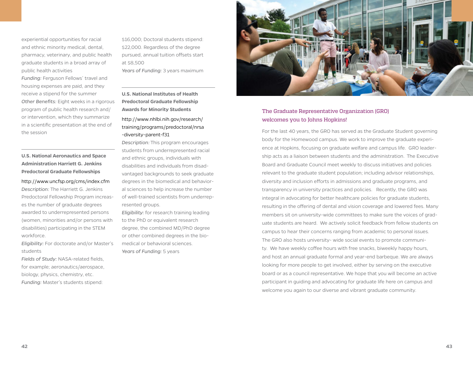experiential opportunities for racial and ethnic minority medical, dental, pharmacy, veterinary, and public health graduate students in a broad array of public health activities

*Funding:* Ferguson Fellows' travel and housing expenses are paid, and they receive a stipend for the summer *Other Benefits:* Eight weeks in a rigorous program of public health research and/ or intervention, which they summarize in a scientific presentation at the end of the session

# **U.S. National Aeronautics and Space Administration Harriett G. Jenkins Predoctoral Graduate Fellowships**

http://www.uncfsp.org/cms/index.cfm *Description:* The Harriett G. Jenkins Predoctoral Fellowship Program increases the number of graduate degrees awarded to underrepresented persons (women, minorities and/or persons with disabilities) participating in the STEM workforce.

*Eligibility:* For doctorate and/or Master's students

*Fields of Study:* NASA-related fields, for example; aeronautics/aerospace, biology, physics, chemistry, etc. *Funding:* Master's students stipend:

\$16,000; Doctoral students stipend: \$22,000. Regardless of the degree pursued, annual tuition offsets start at \$8,500 *Years of Funding:* 3 years maximum

**U.S. National Institutes of Health Predoctoral Graduate Fellowship Awards for Minority Students**

# http://www.nhlbi.nih.gov/research/ training/programs/predoctoral/nrsa -diversity-parent-f31

*Description:* This program encourages students from underrepresented racial and ethnic groups, individuals with disabilities and individuals from disadvantaged backgrounds to seek graduate degrees in the biomedical and behavioral sciences to help increase the number of well-trained scientists from underrepresented groups.

*Eligibility:* for research training leading to the PhD or equivalent research degree, the combined MD/PhD degree or other combined degrees in the biomedical or behavioral sciences. *Years of Funding:* 5 years



# The Graduate Representative Organization (GRO) welcomes you to Johns Hopkins!

For the last 40 years, the GRO has served as the Graduate Student governing body for the Homewood campus. We work to improve the graduate experience at Hopkins, focusing on graduate welfare and campus life. GRO leadership acts as a liaison between students and the administration. The Executive Board and Graduate Council meet weekly to discuss initiatives and policies relevant to the graduate student population; including advisor relationships, diversity and inclusion efforts in admissions and graduate programs, and transparency in university practices and policies. Recently, the GRO was integral in advocating for better healthcare policies for graduate students, resulting in the offering of dental and vision coverage and lowered fees. Many members sit on university-wide committees to make sure the voices of graduate students are heard. We actively solicit feedback from fellow students on campus to hear their concerns ranging from academic to personal issues. The GRO also hosts university- wide social events to promote community. We have weekly coffee hours with free snacks, biweekly happy hours, and host an annual graduate formal and year-end barbeque. We are always looking for more people to get involved, either by serving on the executive board or as a council representative. We hope that you will become an active participant in guiding and advocating for graduate life here on campus and welcome you again to our diverse and vibrant graduate community.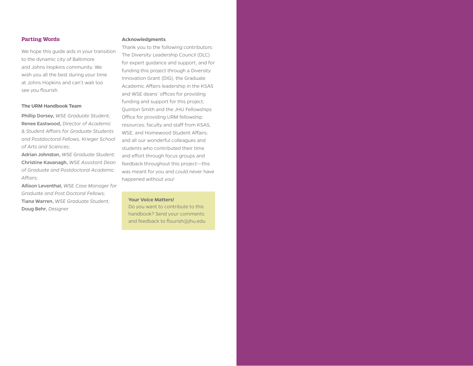# **Parting Words**

We hope this guide aids in your transition to the dynamic city of Baltimore and Johns Hopkins community. We wish you all the best during your time at Johns Hopkins and can't wait too see you flourish.

#### **The URM Handbook Team**

Phillip Dorsey, *WSE Graduate Student;* Renee Eastwood, *Director of Academic & Student Affairs for Graduate Students and Postdoctoral Fellows, Krieger School of Arts and Sciences;* 

Adrian Johnston, *WSE Graduate Student;* Christine Kavanagh, *WSE Assistant Dean of Graduate and Postdoctoral Academic Affairs;* 

Allison Leventhal, *WSE Case Manager for Graduate and Post Doctoral Fellows;*  Tiana Warren, *WSE Graduate Student;* Doug Behr, *Designer*

#### **Acknowledgments**

Thank you to the following contributors: The Diversity Leadership Council (DLC) for expert guidance and support, and for funding this project through a Diversity Innovation Grant (DIG); the Graduate Academic Affairs leadership in the KSAS and WSE deans' offices for providing funding and support for this project; Quinton Smith and the JHU Fellowships Office for providing URM fellowship resources; faculty and staff from KSAS, WSE, and Homewood Student Affairs; and all our wonderful colleagues and students who contributed their time and effort through focus groups and feedback throughout this project—this was meant for you and could never have happened without you!

#### **Your Voice Matters!**

Do you want to contribute to this handbook? Send your comments and feedback to flourish@jhu.edu